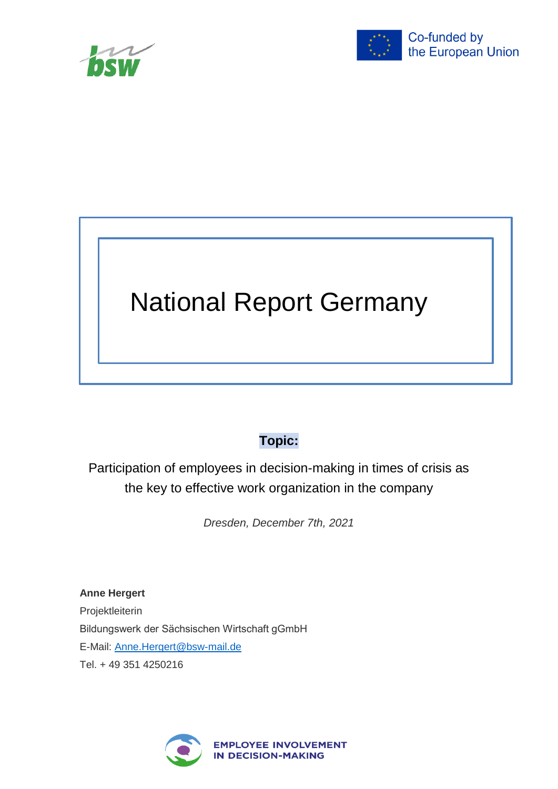<span id="page-0-0"></span>



# National Report Germany

## **Topic:**

Participation of employees in decision-making in times of crisis as the key to effective work organization in the company

*Dresden, December 7th, 2021*

**Anne Hergert** Projektleiterin Bildungswerk der Sächsischen Wirtschaft gGmbH E-Mail: [Anne.Hergert@bsw-mail.de](mailto:Anne.Hergert@bsw-mail.de) Tel. + 49 351 4250216

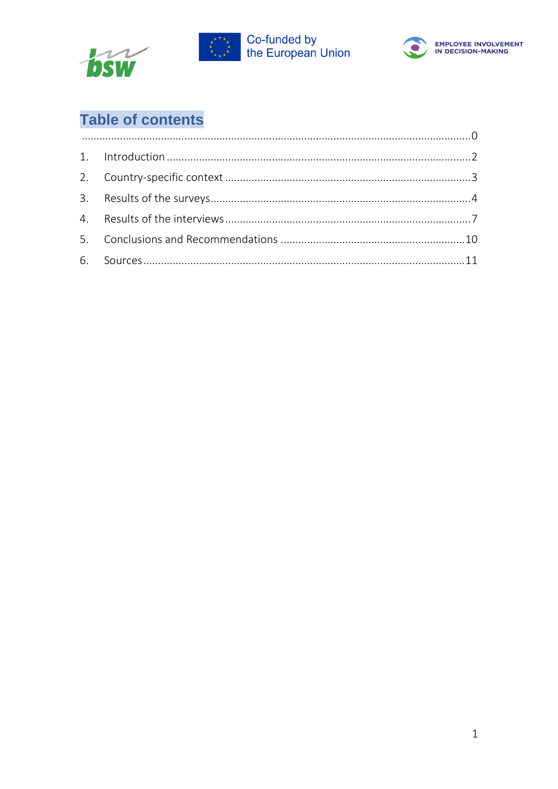





## **Table of contents**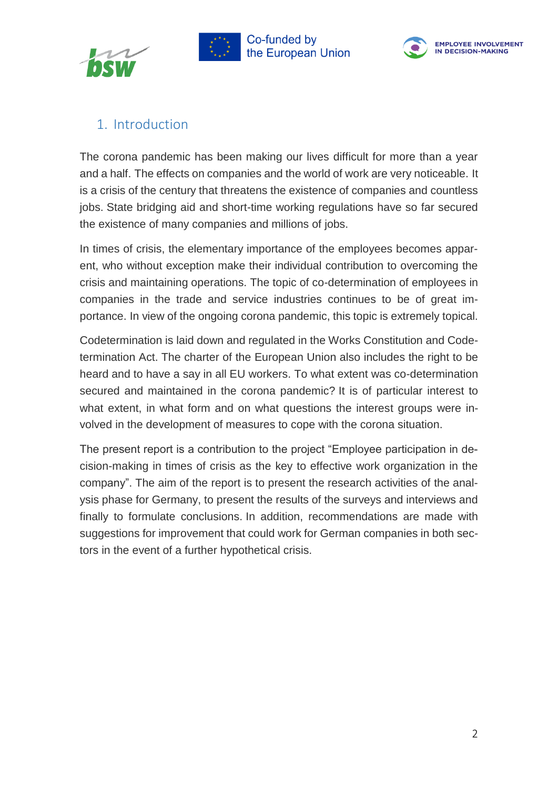





## <span id="page-2-0"></span>1. Introduction

The corona pandemic has been making our lives difficult for more than a year and a half. The effects on companies and the world of work are very noticeable. It is a crisis of the century that threatens the existence of companies and countless jobs. State bridging aid and short-time working regulations have so far secured the existence of many companies and millions of jobs.

In times of crisis, the elementary importance of the employees becomes apparent, who without exception make their individual contribution to overcoming the crisis and maintaining operations. The topic of co-determination of employees in companies in the trade and service industries continues to be of great importance. In view of the ongoing corona pandemic, this topic is extremely topical.

Codetermination is laid down and regulated in the Works Constitution and Codetermination Act. The charter of the European Union also includes the right to be heard and to have a say in all EU workers. To what extent was co-determination secured and maintained in the corona pandemic? It is of particular interest to what extent, in what form and on what questions the interest groups were involved in the development of measures to cope with the corona situation.

The present report is a contribution to the project "Employee participation in decision-making in times of crisis as the key to effective work organization in the company". The aim of the report is to present the research activities of the analysis phase for Germany, to present the results of the surveys and interviews and finally to formulate conclusions. In addition, recommendations are made with suggestions for improvement that could work for German companies in both sectors in the event of a further hypothetical crisis.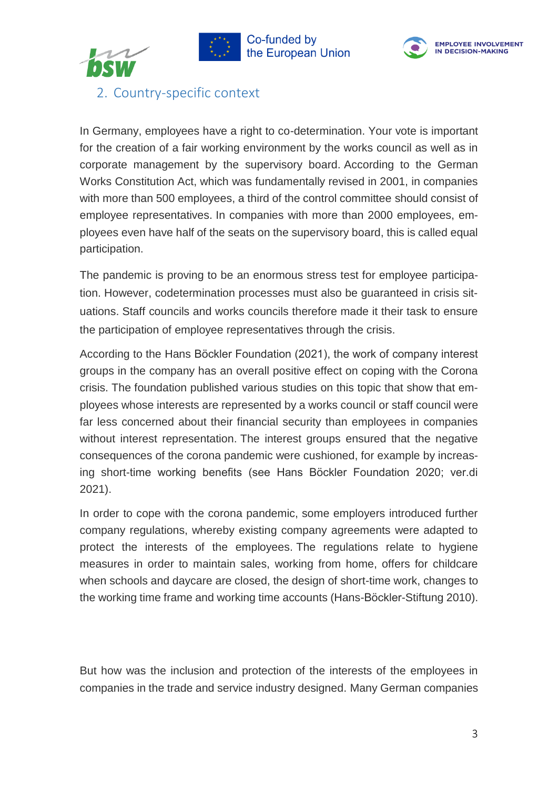





<span id="page-3-0"></span>2. Country-specific context

In Germany, employees have a right to co-determination. Your vote is important for the creation of a fair working environment by the works council as well as in corporate management by the supervisory board. According to the German Works Constitution Act, which was fundamentally revised in 2001, in companies with more than 500 employees, a third of the control committee should consist of employee representatives. In companies with more than 2000 employees, employees even have half of the seats on the supervisory board, this is called equal participation.

The pandemic is proving to be an enormous stress test for employee participation. However, codetermination processes must also be guaranteed in crisis situations. Staff councils and works councils therefore made it their task to ensure the participation of employee representatives through the crisis.

According to the Hans Böckler Foundation (2021), the work of company interest groups in the company has an overall positive effect on coping with the Corona crisis. The foundation published various studies on this topic that show that employees whose interests are represented by a works council or staff council were far less concerned about their financial security than employees in companies without interest representation. The interest groups ensured that the negative consequences of the corona pandemic were cushioned, for example by increasing short-time working benefits (see Hans Böckler Foundation 2020; ver.di 2021).

In order to cope with the corona pandemic, some employers introduced further company regulations, whereby existing company agreements were adapted to protect the interests of the employees. The regulations relate to hygiene measures in order to maintain sales, working from home, offers for childcare when schools and daycare are closed, the design of short-time work, changes to the working time frame and working time accounts (Hans-Böckler-Stiftung 2010).

But how was the inclusion and protection of the interests of the employees in companies in the trade and service industry designed. Many German companies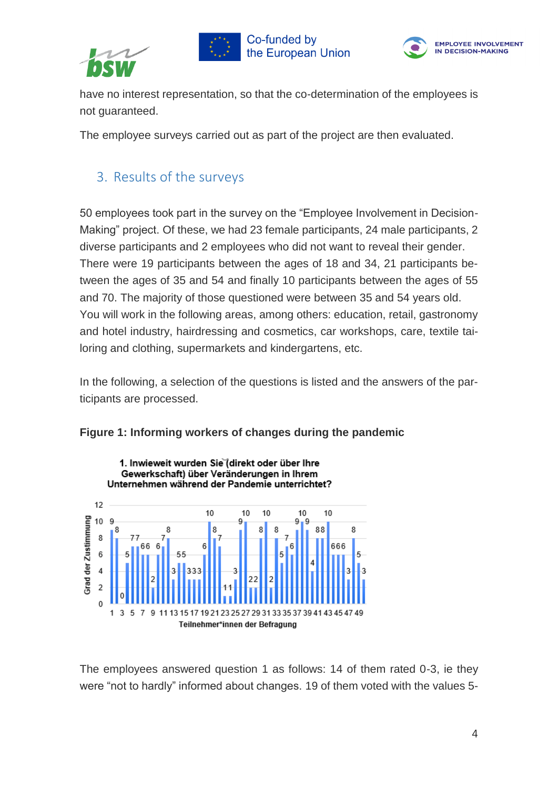





have no interest representation, so that the co-determination of the employees is not guaranteed.

The employee surveys carried out as part of the project are then evaluated.

## <span id="page-4-0"></span>3. Results of the surveys

50 employees took part in the survey on the "Employee Involvement in Decision-Making" project. Of these, we had 23 female participants, 24 male participants, 2 diverse participants and 2 employees who did not want to reveal their gender. There were 19 participants between the ages of 18 and 34, 21 participants between the ages of 35 and 54 and finally 10 participants between the ages of 55 and 70. The majority of those questioned were between 35 and 54 years old. You will work in the following areas, among others: education, retail, gastronomy and hotel industry, hairdressing and cosmetics, car workshops, care, textile tailoring and clothing, supermarkets and kindergartens, etc.

In the following, a selection of the questions is listed and the answers of the participants are processed.





The employees answered question 1 as follows: 14 of them rated 0-3, ie they were "not to hardly" informed about changes. 19 of them voted with the values 5-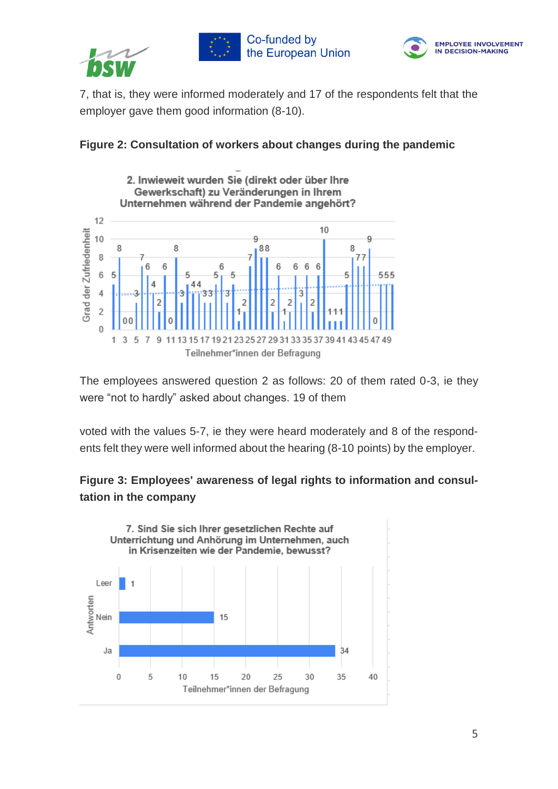





7, that is, they were informed moderately and 17 of the respondents felt that the employer gave them good information (8-10).





The employees answered question 2 as follows: 20 of them rated 0-3, ie they were "not to hardly" asked about changes. 19 of them

voted with the values 5-7, ie they were heard moderately and 8 of the respondents felt they were well informed about the hearing (8-10 points) by the employer.

### **Figure 3: Employees' awareness of legal rights to information and consultation in the company**

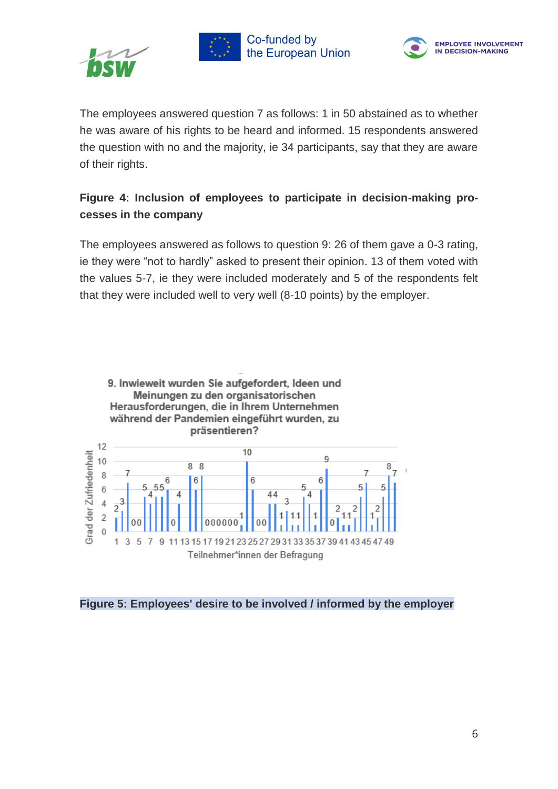





The employees answered question 7 as follows: 1 in 50 abstained as to whether he was aware of his rights to be heard and informed. 15 respondents answered the question with no and the majority, ie 34 participants, say that they are aware of their rights.

## **Figure 4: Inclusion of employees to participate in decision-making processes in the company**

The employees answered as follows to question 9: 26 of them gave a 0-3 rating, ie they were "not to hardly" asked to present their opinion. 13 of them voted with the values 5-7, ie they were included moderately and 5 of the respondents felt that they were included well to very well (8-10 points) by the employer.



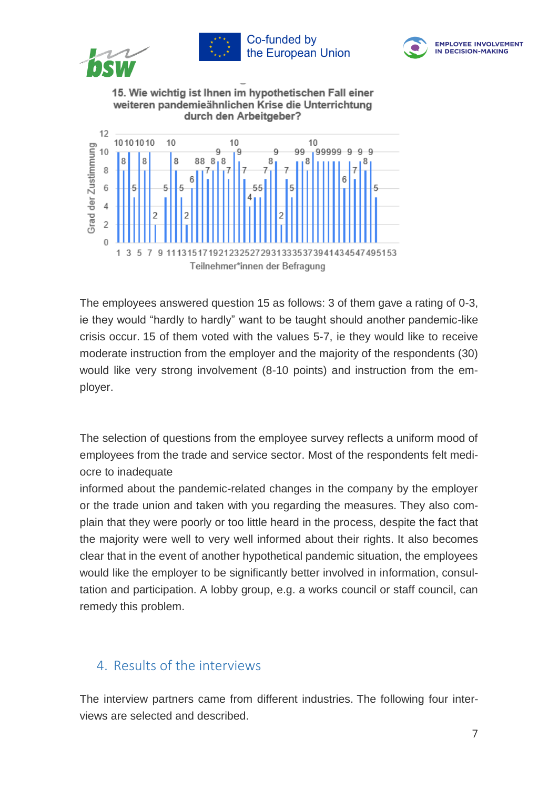

The employees answered question 15 as follows: 3 of them gave a rating of 0-3, ie they would "hardly to hardly" want to be taught should another pandemic-like crisis occur. 15 of them voted with the values 5-7, ie they would like to receive moderate instruction from the employer and the majority of the respondents (30) would like very strong involvement (8-10 points) and instruction from the employer.

The selection of questions from the employee survey reflects a uniform mood of employees from the trade and service sector. Most of the respondents felt mediocre to inadequate

informed about the pandemic-related changes in the company by the employer or the trade union and taken with you regarding the measures. They also complain that they were poorly or too little heard in the process, despite the fact that the majority were well to very well informed about their rights. It also becomes clear that in the event of another hypothetical pandemic situation, the employees would like the employer to be significantly better involved in information, consultation and participation. A lobby group, e.g. a works council or staff council, can remedy this problem.

## <span id="page-7-0"></span>4. Results of the interviews

The interview partners came from different industries. The following four interviews are selected and described.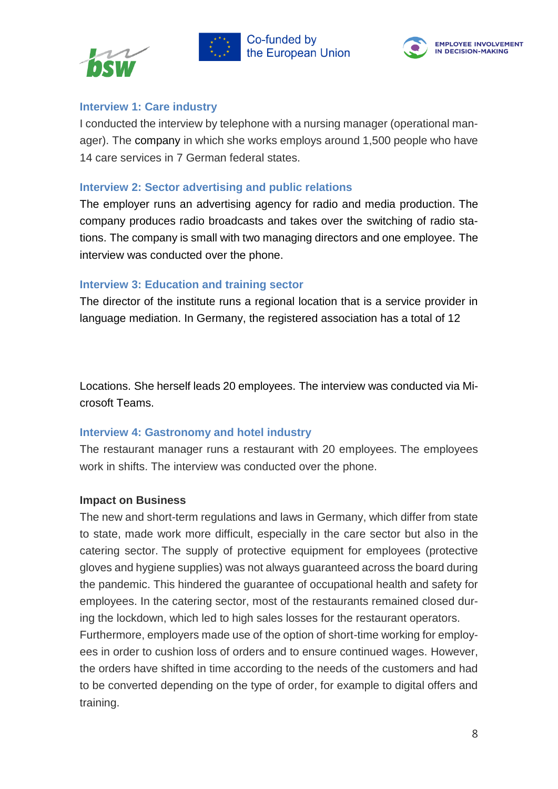





#### **Interview 1: Care industry**

I conducted the interview by telephone with a nursing manager (operational manager). The company in which she works employs around 1,500 people who have 14 care services in 7 German federal states.

#### **Interview 2: Sector advertising and public relations**

The employer runs an advertising agency for radio and media production. The company produces radio broadcasts and takes over the switching of radio stations. The company is small with two managing directors and one employee. The interview was conducted over the phone.

#### **Interview 3: Education and training sector**

The director of the institute runs a regional location that is a service provider in language mediation. In Germany, the registered association has a total of 12

Locations. She herself leads 20 employees. The interview was conducted via Microsoft Teams.

#### **Interview 4: Gastronomy and hotel industry**

The restaurant manager runs a restaurant with 20 employees. The employees work in shifts. The interview was conducted over the phone.

#### **Impact on Business**

The new and short-term regulations and laws in Germany, which differ from state to state, made work more difficult, especially in the care sector but also in the catering sector. The supply of protective equipment for employees (protective gloves and hygiene supplies) was not always guaranteed across the board during the pandemic. This hindered the guarantee of occupational health and safety for employees. In the catering sector, most of the restaurants remained closed during the lockdown, which led to high sales losses for the restaurant operators.

Furthermore, employers made use of the option of short-time working for employees in order to cushion loss of orders and to ensure continued wages. However, the orders have shifted in time according to the needs of the customers and had to be converted depending on the type of order, for example to digital offers and training.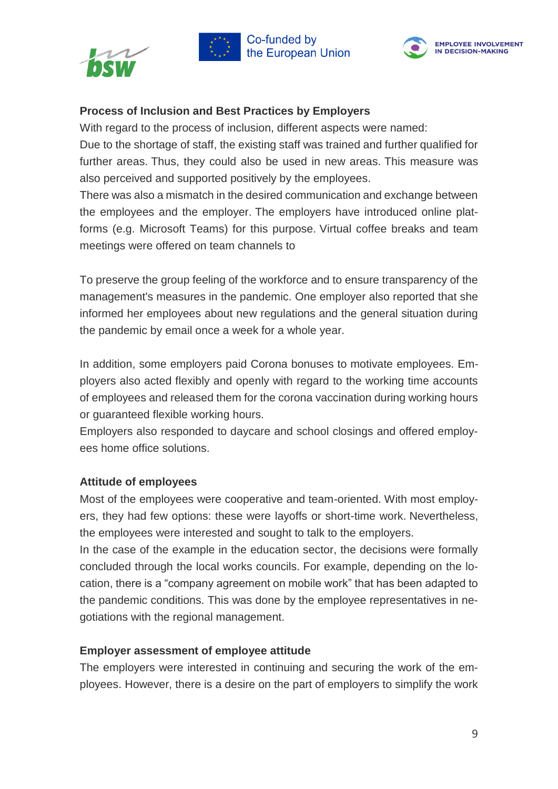





#### **Process of Inclusion and Best Practices by Employers**

With regard to the process of inclusion, different aspects were named:

Due to the shortage of staff, the existing staff was trained and further qualified for further areas. Thus, they could also be used in new areas. This measure was also perceived and supported positively by the employees.

There was also a mismatch in the desired communication and exchange between the employees and the employer. The employers have introduced online platforms (e.g. Microsoft Teams) for this purpose. Virtual coffee breaks and team meetings were offered on team channels to

To preserve the group feeling of the workforce and to ensure transparency of the management's measures in the pandemic. One employer also reported that she informed her employees about new regulations and the general situation during the pandemic by email once a week for a whole year.

In addition, some employers paid Corona bonuses to motivate employees. Employers also acted flexibly and openly with regard to the working time accounts of employees and released them for the corona vaccination during working hours or guaranteed flexible working hours.

Employers also responded to daycare and school closings and offered employees home office solutions.

#### **Attitude of employees**

Most of the employees were cooperative and team-oriented. With most employers, they had few options: these were layoffs or short-time work. Nevertheless, the employees were interested and sought to talk to the employers.

In the case of the example in the education sector, the decisions were formally concluded through the local works councils. For example, depending on the location, there is a "company agreement on mobile work" that has been adapted to the pandemic conditions. This was done by the employee representatives in negotiations with the regional management.

#### **Employer assessment of employee attitude**

The employers were interested in continuing and securing the work of the employees. However, there is a desire on the part of employers to simplify the work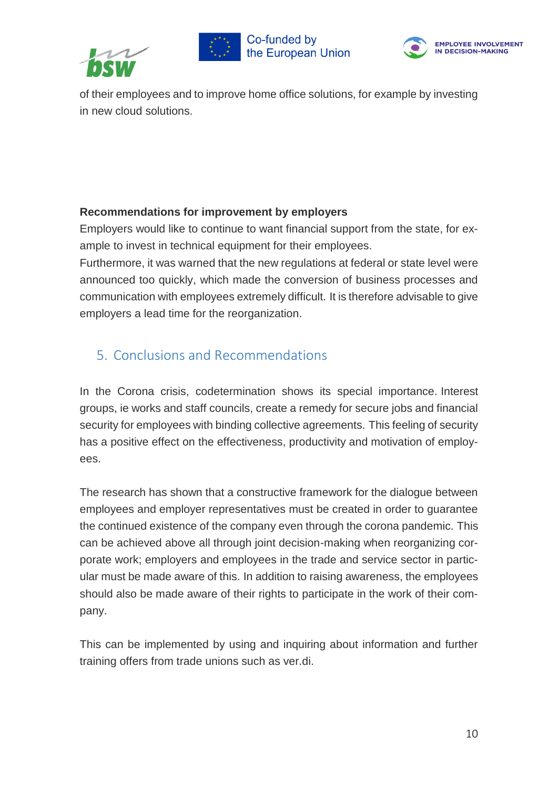





of their employees and to improve home office solutions, for example by investing in new cloud solutions.

#### **Recommendations for improvement by employers**

Employers would like to continue to want financial support from the state, for example to invest in technical equipment for their employees.

Furthermore, it was warned that the new regulations at federal or state level were announced too quickly, which made the conversion of business processes and communication with employees extremely difficult. It is therefore advisable to give employers a lead time for the reorganization.

## <span id="page-10-0"></span>5. Conclusions and Recommendations

In the Corona crisis, codetermination shows its special importance. Interest groups, ie works and staff councils, create a remedy for secure jobs and financial security for employees with binding collective agreements. This feeling of security has a positive effect on the effectiveness, productivity and motivation of employees.

The research has shown that a constructive framework for the dialogue between employees and employer representatives must be created in order to guarantee the continued existence of the company even through the corona pandemic. This can be achieved above all through joint decision-making when reorganizing corporate work; employers and employees in the trade and service sector in particular must be made aware of this. In addition to raising awareness, the employees should also be made aware of their rights to participate in the work of their company.

This can be implemented by using and inquiring about information and further training offers from trade unions such as ver.di.